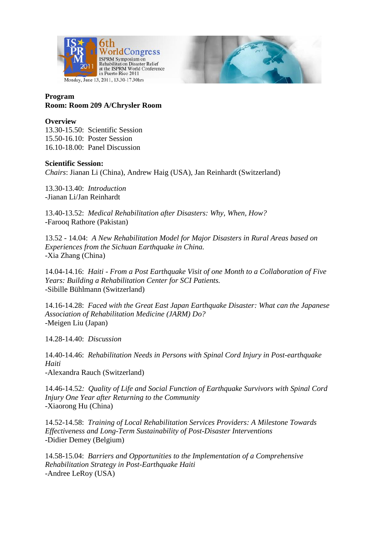



## **Program Room: Room 209 A/Chrysler Room**

## **Overview**

13.30-15.50: Scientific Session 15.50-16.10: Poster Session 16.10-18.00: Panel Discussion

## **Scientific Session:**

*Chairs*: Jianan Li (China), Andrew Haig (USA), Jan Reinhardt (Switzerland)

13.30-13.40: *Introduction*  -Jianan Li/Jan Reinhardt

13.40-13.52: *Medical Rehabilitation after Disasters: Why, When, How?* -Farooq Rathore (Pakistan)

13.52 - 14.04: *A New Rehabilitation Model for Major Disasters in Rural Areas based on Experiences from the Sichuan Earthquake in China.* -Xia Zhang (China)

14.04-14.16: *Haiti - From a Post Earthquake Visit of one Month to a Collaboration of Five Years: Building a Rehabilitation Center for SCI Patients.* -Sibille Bühlmann (Switzerland)

14.16-14.28: *Faced with the Great East Japan Earthquake Disaster: What can the Japanese Association of Rehabilitation Medicine (JARM) Do?* -Meigen Liu (Japan)

14.28-14.40: *Discussion*

14.40-14.46: *Rehabilitation Needs in Persons with Spinal Cord Injury in Post-earthquake Haiti* -Alexandra Rauch (Switzerland)

14.46-14.52*: Quality of Life and Social Function of Earthquake Survivors with Spinal Cord Injury One Year after Returning to the Community* -Xiaorong Hu (China)

14.52-14.58: *Training of Local Rehabilitation Services Providers: A Milestone Towards Effectiveness and Long-Term Sustainability of Post-Disaster Interventions* -Didier Demey (Belgium)

14.58-15.04: *Barriers and Opportunities to the Implementation of a Comprehensive Rehabilitation Strategy in Post-Earthquake Haiti* -Andree LeRoy (USA)